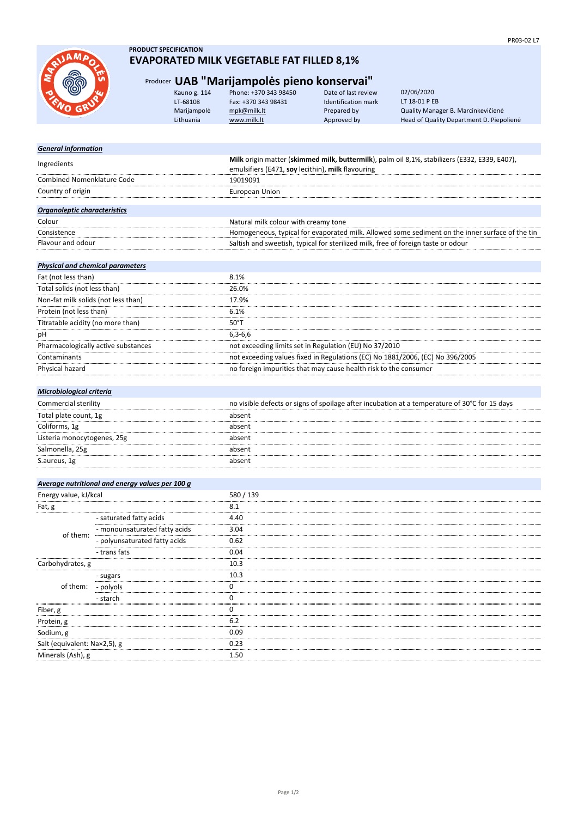

- sugars - polyols - starch

- trans fats

- monounsaturated fatty acids - polyunsaturated fatty acids

Fiber, g Protein, g Sodium, g

Salt (equivalent: Na×2,5), g Minerals (Ash), g

of them:

of them:

Carbohydrates, g

### **PRODUCT SPECIFICATION EVAPORATED MILK VEGETABLE FAT FILLED 8,1%**

## Producer **UAB "Marijampolės pieno konservai"**

|             | Kauno g. 114 | Phone: +370 343 98450 | Date of last review | 02/06/2020                               |
|-------------|--------------|-----------------------|---------------------|------------------------------------------|
| <b>SRAW</b> | LT-68108     | Fax: +370 343 98431   | Identification mark | LT 18-01 P EB                            |
|             | Marijampolė  | mpk@milk.lt           | Prepared by         | Quality Manager B. Marcinkevičienė       |
|             | Lithuania    | www.milk.lt           | Approved by         | Head of Quality Department D. Piepolienė |
|             |              |                       |                     |                                          |

| <b>General information</b>                      |                                                                                                 |  |  |
|-------------------------------------------------|-------------------------------------------------------------------------------------------------|--|--|
| Ingredients                                     | Milk origin matter (skimmed milk, buttermilk), palm oil 8,1%, stabilizers (E332, E339, E407),   |  |  |
|                                                 | emulsifiers (E471, soy lecithin), milk flavouring                                               |  |  |
| <b>Combined Nomenklature Code</b>               | 19019091                                                                                        |  |  |
| Country of origin                               | European Union                                                                                  |  |  |
|                                                 |                                                                                                 |  |  |
| Organoleptic characteristics                    |                                                                                                 |  |  |
| Colour                                          | Natural milk colour with creamy tone                                                            |  |  |
| Consistence                                     | Homogeneous, typical for evaporated milk. Allowed some sediment on the inner surface of the tin |  |  |
| Flavour and odour                               | Saltish and sweetish, typical for sterilized milk, free of foreign taste or odour               |  |  |
|                                                 |                                                                                                 |  |  |
| <b>Physical and chemical parameters</b>         |                                                                                                 |  |  |
| Fat (not less than)                             | 8.1%                                                                                            |  |  |
| Total solids (not less than)                    | 26.0%                                                                                           |  |  |
| Non-fat milk solids (not less than)             | 17.9%                                                                                           |  |  |
| Protein (not less than)                         | 6.1%                                                                                            |  |  |
| Titratable acidity (no more than)               | $50^{\circ}$ T                                                                                  |  |  |
| рH                                              | $6,3-6,6$                                                                                       |  |  |
| Pharmacologically active substances             | not exceeding limits set in Regulation (EU) No 37/2010                                          |  |  |
| Contaminants                                    | not exceeding values fixed in Regulations (EC) No 1881/2006, (EC) No 396/2005                   |  |  |
| Physical hazard                                 | no foreign impurities that may cause health risk to the consumer                                |  |  |
|                                                 |                                                                                                 |  |  |
| <b>Microbiological criteria</b>                 |                                                                                                 |  |  |
| Commercial sterility                            | no visible defects or signs of spoilage after incubation at a temperature of 30°C for 15 days   |  |  |
| Total plate count, 1g                           | absent                                                                                          |  |  |
| Coliforms, 1g                                   | absent                                                                                          |  |  |
| Listeria monocytogenes, 25g                     | absent                                                                                          |  |  |
| Salmonella, 25g                                 | absent                                                                                          |  |  |
| S.aureus, 1g                                    | absent                                                                                          |  |  |
|                                                 |                                                                                                 |  |  |
| Average nutritional and energy values per 100 g |                                                                                                 |  |  |
| Energy value, kJ/kcal                           | 580 / 139                                                                                       |  |  |
| Fat, g                                          | 8.1                                                                                             |  |  |
| - saturated fatty acids                         | 4.40                                                                                            |  |  |

3.04 0.62 0.04

10.3

10.3 0  $\overline{\mathbf{0}}$  $\frac{6}{0}$ 

6.2 0.09 0.23

1.50